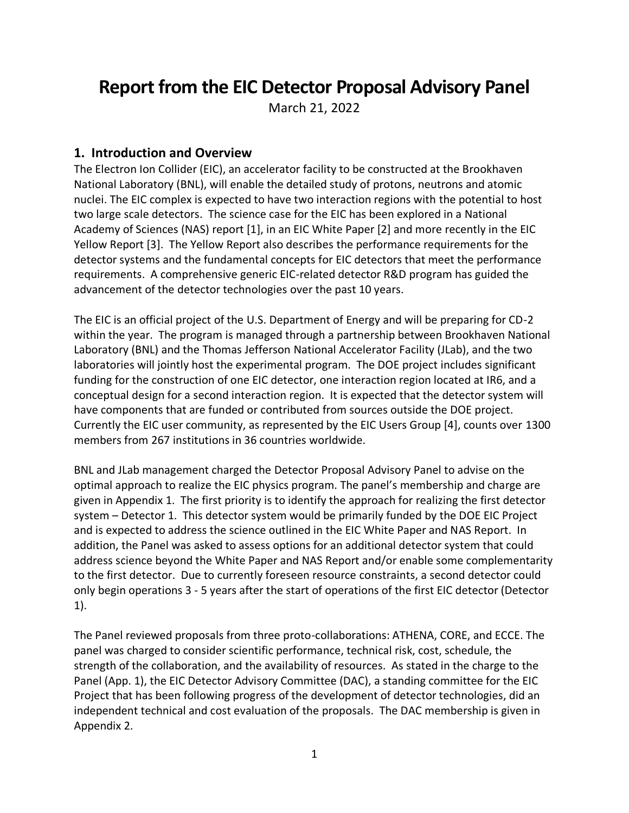# **Report from the EIC Detector Proposal Advisory Panel**

March 21, 2022

## **1. Introduction and Overview**

The Electron Ion Collider (EIC), an accelerator facility to be constructed at the Brookhaven National Laboratory (BNL), will enable the detailed study of protons, neutrons and atomic nuclei. The EIC complex is expected to have two interaction regions with the potential to host two large scale detectors. The science case for the EIC has been explored in a National Academy of Sciences (NAS) report [1], in an EIC White Paper [2] and more recently in the EIC Yellow Report [3]. The Yellow Report also describes the performance requirements for the detector systems and the fundamental concepts for EIC detectors that meet the performance requirements. A comprehensive generic EIC-related detector R&D program has guided the advancement of the detector technologies over the past 10 years.

The EIC is an official project of the U.S. Department of Energy and will be preparing for CD-2 within the year. The program is managed through a partnership between Brookhaven National Laboratory (BNL) and the Thomas Jefferson National Accelerator Facility (JLab), and the two laboratories will jointly host the experimental program. The DOE project includes significant funding for the construction of one EIC detector, one interaction region located at IR6, and a conceptual design for a second interaction region. It is expected that the detector system will have components that are funded or contributed from sources outside the DOE project. Currently the EIC user community, as represented by the EIC Users Group [4], counts over 1300 members from 267 institutions in 36 countries worldwide.

BNL and JLab management charged the Detector Proposal Advisory Panel to advise on the optimal approach to realize the EIC physics program. The panel's membership and charge are given in Appendix 1. The first priority is to identify the approach for realizing the first detector system – Detector 1. This detector system would be primarily funded by the DOE EIC Project and is expected to address the science outlined in the EIC White Paper and NAS Report. In addition, the Panel was asked to assess options for an additional detector system that could address science beyond the White Paper and NAS Report and/or enable some complementarity to the first detector. Due to currently foreseen resource constraints, a second detector could only begin operations 3 - 5 years after the start of operations of the first EIC detector (Detector 1).

The Panel reviewed proposals from three proto-collaborations: ATHENA, CORE, and ECCE. The panel was charged to consider scientific performance, technical risk, cost, schedule, the strength of the collaboration, and the availability of resources. As stated in the charge to the Panel (App. 1), the EIC Detector Advisory Committee (DAC), a standing committee for the EIC Project that has been following progress of the development of detector technologies, did an independent technical and cost evaluation of the proposals. The DAC membership is given in Appendix 2.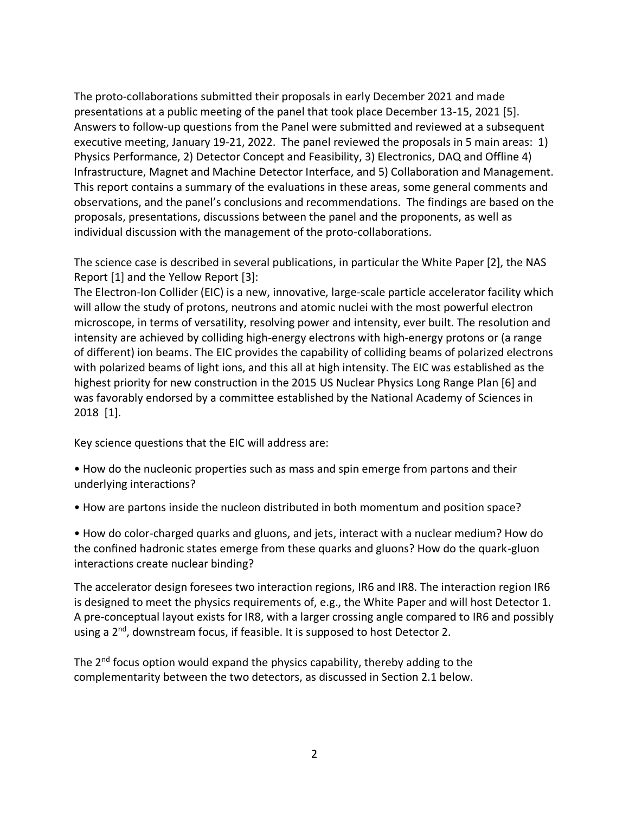The proto-collaborations submitted their proposals in early December 2021 and made presentations at a public meeting of the panel that took place December 13-15, 2021 [5]. Answers to follow-up questions from the Panel were submitted and reviewed at a subsequent executive meeting, January 19-21, 2022. The panel reviewed the proposals in 5 main areas: 1) Physics Performance, 2) Detector Concept and Feasibility, 3) Electronics, DAQ and Offline 4) Infrastructure, Magnet and Machine Detector Interface, and 5) Collaboration and Management. This report contains a summary of the evaluations in these areas, some general comments and observations, and the panel's conclusions and recommendations. The findings are based on the proposals, presentations, discussions between the panel and the proponents, as well as individual discussion with the management of the proto-collaborations.

The science case is described in several publications, in particular the White Paper [2], the NAS Report [1] and the Yellow Report [3]:

The Electron-Ion Collider (EIC) is a new, innovative, large-scale particle accelerator facility which will allow the study of protons, neutrons and atomic nuclei with the most powerful electron microscope, in terms of versatility, resolving power and intensity, ever built. The resolution and intensity are achieved by colliding high-energy electrons with high-energy protons or (a range of different) ion beams. The EIC provides the capability of colliding beams of polarized electrons with polarized beams of light ions, and this all at high intensity. The EIC was established as the highest priority for new construction in the 2015 US Nuclear Physics Long Range Plan [6] and was favorably endorsed by a committee established by the National Academy of Sciences in 2018 [1].

Key science questions that the EIC will address are:

• How do the nucleonic properties such as mass and spin emerge from partons and their underlying interactions?

• How are partons inside the nucleon distributed in both momentum and position space?

• How do color-charged quarks and gluons, and jets, interact with a nuclear medium? How do the confined hadronic states emerge from these quarks and gluons? How do the quark-gluon interactions create nuclear binding?

The accelerator design foresees two interaction regions, IR6 and IR8. The interaction region IR6 is designed to meet the physics requirements of, e.g., the White Paper and will host Detector 1. A pre-conceptual layout exists for IR8, with a larger crossing angle compared to IR6 and possibly using a 2<sup>nd</sup>, downstream focus, if feasible. It is supposed to host Detector 2.

The  $2<sup>nd</sup>$  focus option would expand the physics capability, thereby adding to the complementarity between the two detectors, as discussed in Section 2.1 below.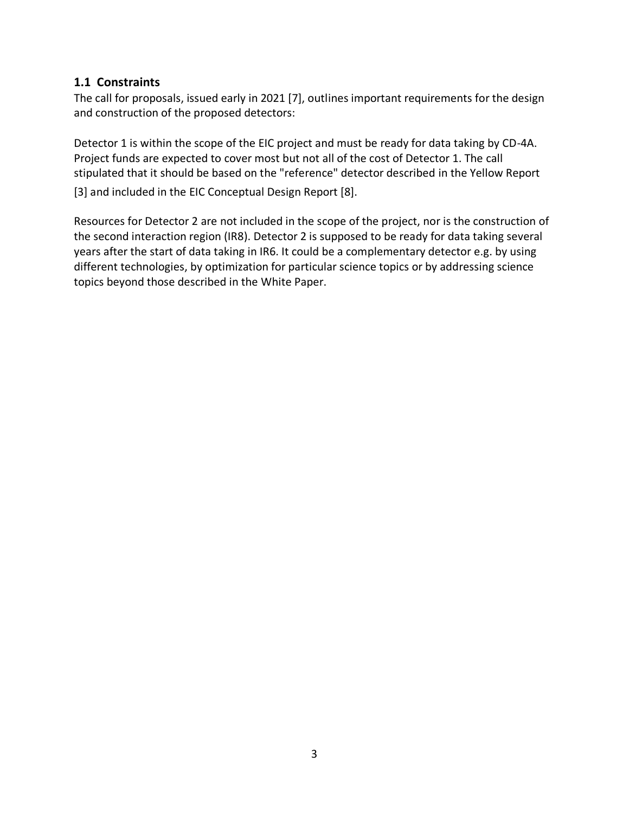## **1.1 Constraints**

The call for proposals, issued early in 2021 [7], outlines important requirements for the design and construction of the proposed detectors:

Detector 1 is within the scope of the EIC project and must be ready for data taking by CD-4A. Project funds are expected to cover most but not all of the cost of Detector 1. The call stipulated that it should be based on the "reference" detector described in the Yellow Report

[3] and included in the EIC Conceptual Design Report [8].

Resources for Detector 2 are not included in the scope of the project, nor is the construction of the second interaction region (IR8). Detector 2 is supposed to be ready for data taking several years after the start of data taking in IR6. It could be a complementary detector e.g. by using different technologies, by optimization for particular science topics or by addressing science topics beyond those described in the White Paper.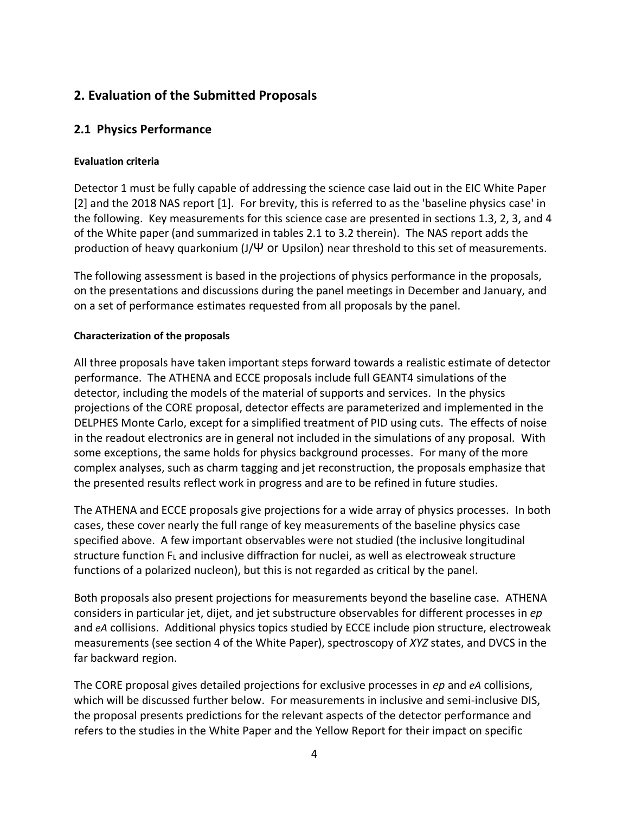## **2. Evaluation of the Submitted Proposals**

## **2.1 Physics Performance**

#### **Evaluation criteria**

Detector 1 must be fully capable of addressing the science case laid out in the EIC White Paper [2] and the 2018 NAS report [1]. For brevity, this is referred to as the 'baseline physics case' in the following. Key measurements for this science case are presented in sections 1.3, 2, 3, and 4 of the White paper (and summarized in tables 2.1 to 3.2 therein). The NAS report adds the production of heavy quarkonium (J/Ψ or Upsilon) near threshold to this set of measurements.

The following assessment is based in the projections of physics performance in the proposals, on the presentations and discussions during the panel meetings in December and January, and on a set of performance estimates requested from all proposals by the panel.

#### **Characterization of the proposals**

All three proposals have taken important steps forward towards a realistic estimate of detector performance. The ATHENA and ECCE proposals include full GEANT4 simulations of the detector, including the models of the material of supports and services. In the physics projections of the CORE proposal, detector effects are parameterized and implemented in the DELPHES Monte Carlo, except for a simplified treatment of PID using cuts. The effects of noise in the readout electronics are in general not included in the simulations of any proposal. With some exceptions, the same holds for physics background processes. For many of the more complex analyses, such as charm tagging and jet reconstruction, the proposals emphasize that the presented results reflect work in progress and are to be refined in future studies.

The ATHENA and ECCE proposals give projections for a wide array of physics processes. In both cases, these cover nearly the full range of key measurements of the baseline physics case specified above. A few important observables were not studied (the inclusive longitudinal structure function  $F<sub>L</sub>$  and inclusive diffraction for nuclei, as well as electroweak structure functions of a polarized nucleon), but this is not regarded as critical by the panel.

Both proposals also present projections for measurements beyond the baseline case. ATHENA considers in particular jet, dijet, and jet substructure observables for different processes in *ep*  and *eA* collisions. Additional physics topics studied by ECCE include pion structure, electroweak measurements (see section 4 of the White Paper), spectroscopy of *XYZ* states, and DVCS in the far backward region.

The CORE proposal gives detailed projections for exclusive processes in *ep* and *eA* collisions, which will be discussed further below. For measurements in inclusive and semi-inclusive DIS, the proposal presents predictions for the relevant aspects of the detector performance and refers to the studies in the White Paper and the Yellow Report for their impact on specific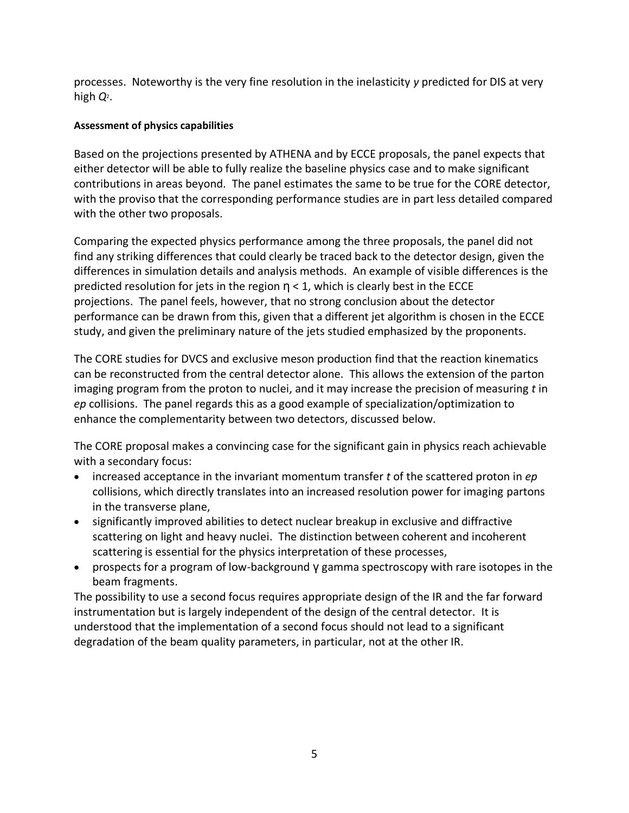processes. Noteworthy is the very fine resolution in the inelasticity *y* predicted for DIS at very high *Q*<sup>2</sup> .

#### **Assessment of physics capabilities**

Based on the projections presented by ATHENA and by ECCE proposals, the panel expects that either detector will be able to fully realize the baseline physics case and to make significant contributions in areas beyond. The panel estimates the same to be true for the CORE detector, with the proviso that the corresponding performance studies are in part less detailed compared with the other two proposals.

Comparing the expected physics performance among the three proposals, the panel did not find any striking differences that could clearly be traced back to the detector design, given the differences in simulation details and analysis methods. An example of visible differences is the predicted resolution for jets in the region  $\eta$  < 1, which is clearly best in the ECCE projections. The panel feels, however, that no strong conclusion about the detector performance can be drawn from this, given that a different jet algorithm is chosen in the ECCE study, and given the preliminary nature of the jets studied emphasized by the proponents.

The CORE studies for DVCS and exclusive meson production find that the reaction kinematics can be reconstructed from the central detector alone. This allows the extension of the parton imaging program from the proton to nuclei, and it may increase the precision of measuring *t* in *ep* collisions. The panel regards this as a good example of specialization/optimization to enhance the complementarity between two detectors, discussed below.

The CORE proposal makes a convincing case for the significant gain in physics reach achievable with a secondary focus:

- increased acceptance in the invariant momentum transfer *t* of the scattered proton in *ep* collisions, which directly translates into an increased resolution power for imaging partons in the transverse plane,
- significantly improved abilities to detect nuclear breakup in exclusive and diffractive scattering on light and heavy nuclei. The distinction between coherent and incoherent scattering is essential for the physics interpretation of these processes,
- prospects for a program of low-background γ gamma spectroscopy with rare isotopes in the beam fragments.

The possibility to use a second focus requires appropriate design of the IR and the far forward instrumentation but is largely independent of the design of the central detector. It is understood that the implementation of a second focus should not lead to a significant degradation of the beam quality parameters, in particular, not at the other IR.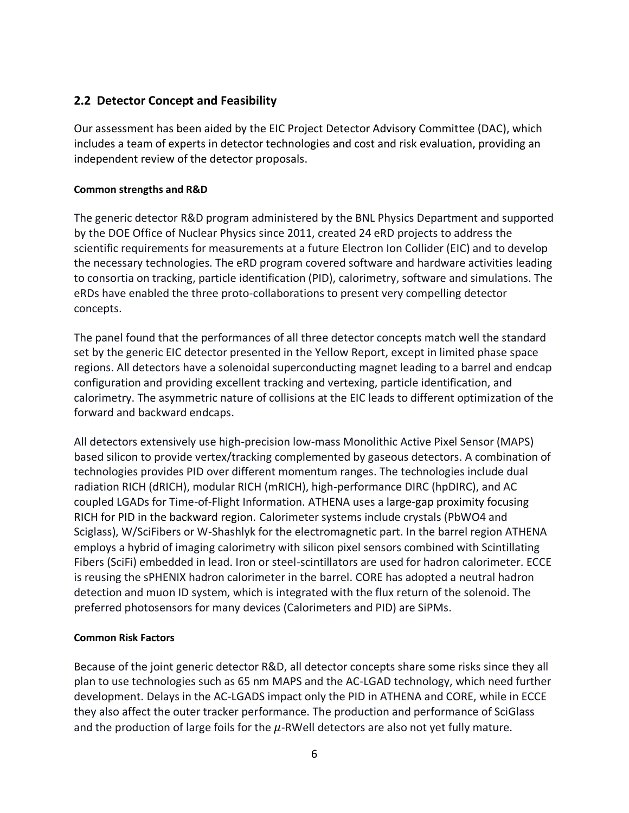## **2.2 Detector Concept and Feasibility**

Our assessment has been aided by the EIC Project Detector Advisory Committee (DAC), which includes a team of experts in detector technologies and cost and risk evaluation, providing an independent review of the detector proposals.

#### **Common strengths and R&D**

The generic detector R&D program administered by the BNL Physics Department and supported by the DOE Office of Nuclear Physics since 2011, created 24 eRD projects to address the scientific requirements for measurements at a future Electron Ion Collider (EIC) and to develop the necessary technologies. The eRD program covered software and hardware activities leading to consortia on tracking, particle identification (PID), calorimetry, software and simulations. The eRDs have enabled the three proto-collaborations to present very compelling detector concepts. 

The panel found that the performances of all three detector concepts match well the standard set by the generic EIC detector presented in the Yellow Report, except in limited phase space regions. All detectors have a solenoidal superconducting magnet leading to a barrel and endcap configuration and providing excellent tracking and vertexing, particle identification, and calorimetry. The asymmetric nature of collisions at the EIC leads to different optimization of the forward and backward endcaps. 

All detectors extensively use high-precision low-mass Monolithic Active Pixel Sensor (MAPS) based silicon to provide vertex/tracking complemented by gaseous detectors. A combination of technologies provides PID over different momentum ranges. The technologies include dual radiation RICH (dRICH), modular RICH (mRICH), high-performance DIRC (hpDIRC), and AC coupled LGADs for Time-of-Flight Information. ATHENA uses a large-gap proximity focusing RICH for PID in the backward region. Calorimeter systems include crystals (PbWO4 and Sciglass), W/SciFibers or W-Shashlyk for the electromagnetic part. In the barrel region ATHENA employs a hybrid of imaging calorimetry with silicon pixel sensors combined with Scintillating Fibers (SciFi) embedded in lead. Iron or steel-scintillators are used for hadron calorimeter. ECCE is reusing the sPHENIX hadron calorimeter in the barrel. CORE has adopted a neutral hadron detection and muon ID system, which is integrated with the flux return of the solenoid. The preferred photosensors for many devices (Calorimeters and PID) are SiPMs. 

## **Common Risk Factors**

Because of the joint generic detector R&D, all detector concepts share some risks since they all plan to use technologies such as 65 nm MAPS and the AC-LGAD technology, which need further development. Delays in the AC-LGADS impact only the PID in ATHENA and CORE, while in ECCE they also affect the outer tracker performance. The production and performance of SciGlass and the production of large foils for the  $\mu$ -RWell detectors are also not yet fully mature.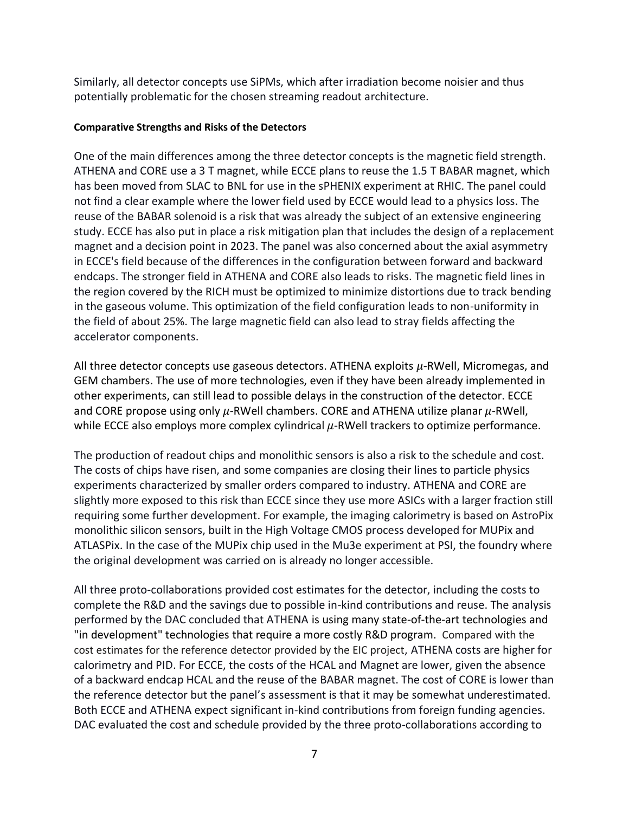Similarly, all detector concepts use SiPMs, which after irradiation become noisier and thus potentially problematic for the chosen streaming readout architecture.

#### **Comparative Strengths and Risks of the Detectors**

One of the main differences among the three detector concepts is the magnetic field strength. ATHENA and CORE use a 3 T magnet, while ECCE plans to reuse the 1.5 T BABAR magnet, which has been moved from SLAC to BNL for use in the sPHENIX experiment at RHIC. The panel could not find a clear example where the lower field used by ECCE would lead to a physics loss. The reuse of the BABAR solenoid is a risk that was already the subject of an extensive engineering study. ECCE has also put in place a risk mitigation plan that includes the design of a replacement magnet and a decision point in 2023. The panel was also concerned about the axial asymmetry in ECCE's field because of the differences in the configuration between forward and backward endcaps. The stronger field in ATHENA and CORE also leads to risks. The magnetic field lines in the region covered by the RICH must be optimized to minimize distortions due to track bending in the gaseous volume. This optimization of the field configuration leads to non-uniformity in the field of about 25%. The large magnetic field can also lead to stray fields affecting the accelerator components. 

All three detector concepts use gaseous detectors. ATHENA exploits  $\mu$ -RWell, Micromegas, and GEM chambers. The use of more technologies, even if they have been already implemented in other experiments, can still lead to possible delays in the construction of the detector. ECCE and CORE propose using only  $\mu$ -RWell chambers. CORE and ATHENA utilize planar  $\mu$ -RWell, while ECCE also employs more complex cylindrical  $\mu$ -RWell trackers to optimize performance.

The production of readout chips and monolithic sensors is also a risk to the schedule and cost. The costs of chips have risen, and some companies are closing their lines to particle physics experiments characterized by smaller orders compared to industry. ATHENA and CORE are slightly more exposed to this risk than ECCE since they use more ASICs with a larger fraction still requiring some further development. For example, the imaging calorimetry is based on AstroPix monolithic silicon sensors, built in the High Voltage CMOS process developed for MUPix and ATLASPix. In the case of the MUPix chip used in the Mu3e experiment at PSI, the foundry where the original development was carried on is already no longer accessible. 

All three proto-collaborations provided cost estimates for the detector, including the costs to complete the R&D and the savings due to possible in-kind contributions and reuse. The analysis performed by the DAC concluded that ATHENA is using many state-of-the-art technologies and "in development" technologies that require a more costly R&D program. Compared with the cost estimates for the reference detector provided by the EIC project, ATHENA costs are higher for calorimetry and PID. For ECCE, the costs of the HCAL and Magnet are lower, given the absence of a backward endcap HCAL and the reuse of the BABAR magnet. The cost of CORE is lower than the reference detector but the panel's assessment is that it may be somewhat underestimated. Both ECCE and ATHENA expect significant in-kind contributions from foreign funding agencies. DAC evaluated the cost and schedule provided by the three proto-collaborations according to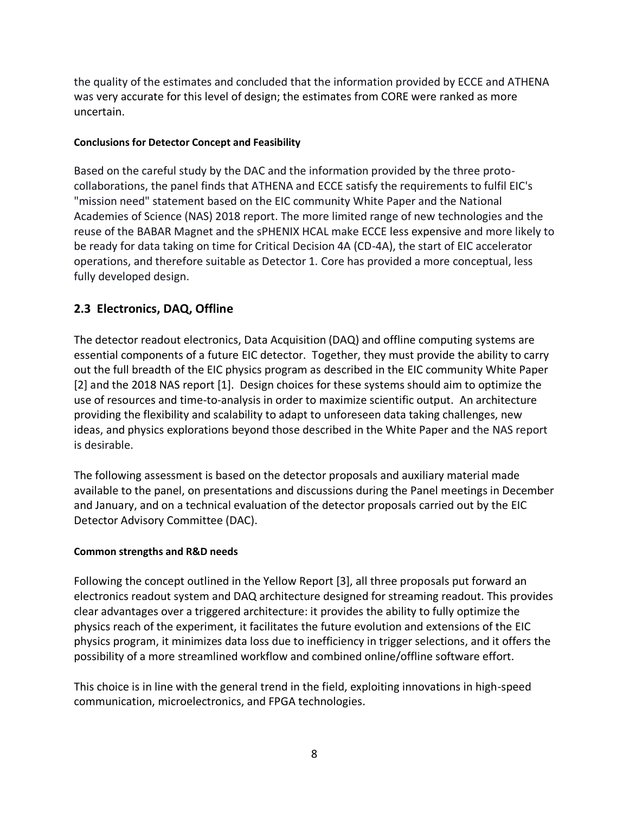the quality of the estimates and concluded that the information provided by ECCE and ATHENA was very accurate for this level of design; the estimates from CORE were ranked as more uncertain.

#### **Conclusions for Detector Concept and Feasibility**

Based on the careful study by the DAC and the information provided by the three protocollaborations, the panel finds that ATHENA and ECCE satisfy the requirements to fulfil EIC's "mission need" statement based on the EIC community White Paper and the National Academies of Science (NAS) 2018 report. The more limited range of new technologies and the reuse of the BABAR Magnet and the sPHENIX HCAL make ECCE less expensive and more likely to be ready for data taking on time for Critical Decision 4A (CD-4A), the start of EIC accelerator operations, and therefore suitable as Detector 1. Core has provided a more conceptual, less fully developed design.

## **2.3 Electronics, DAQ, Offline**

The detector readout electronics, Data Acquisition (DAQ) and offline computing systems are essential components of a future EIC detector. Together, they must provide the ability to carry out the full breadth of the EIC physics program as described in the EIC community White Paper [2] and the 2018 NAS report [1]. Design choices for these systems should aim to optimize the use of resources and time-to-analysis in order to maximize scientific output. An architecture providing the flexibility and scalability to adapt to unforeseen data taking challenges, new ideas, and physics explorations beyond those described in the White Paper and the NAS report is desirable.

The following assessment is based on the detector proposals and auxiliary material made available to the panel, on presentations and discussions during the Panel meetings in December and January, and on a technical evaluation of the detector proposals carried out by the EIC Detector Advisory Committee (DAC).

## **Common strengths and R&D needs**

Following the concept outlined in the Yellow Report [3], all three proposals put forward an electronics readout system and DAQ architecture designed for streaming readout. This provides clear advantages over a triggered architecture: it provides the ability to fully optimize the physics reach of the experiment, it facilitates the future evolution and extensions of the EIC physics program, it minimizes data loss due to inefficiency in trigger selections, and it offers the possibility of a more streamlined workflow and combined online/offline software effort.

This choice is in line with the general trend in the field, exploiting innovations in high-speed communication, microelectronics, and FPGA technologies.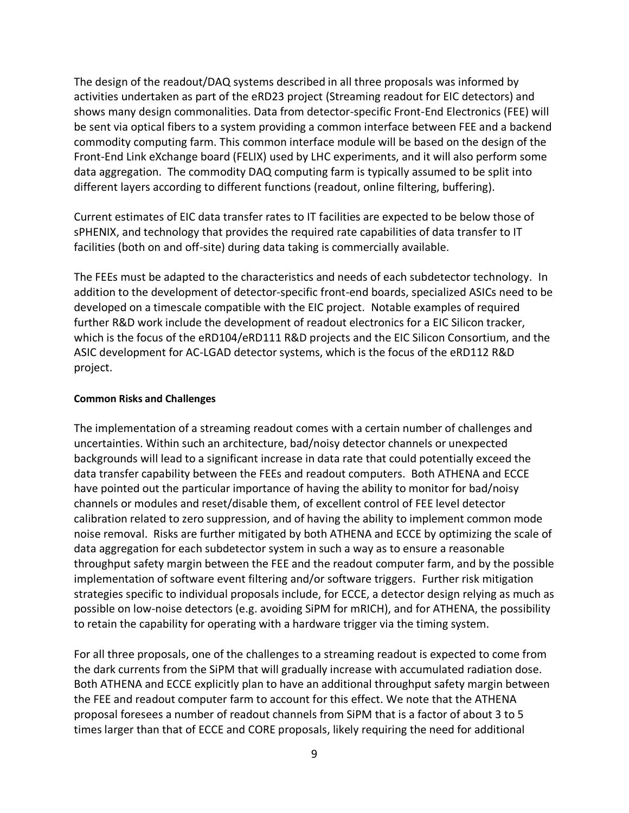The design of the readout/DAQ systems described in all three proposals was informed by activities undertaken as part of the eRD23 project (Streaming readout for EIC detectors) and shows many design commonalities. Data from detector-specific Front-End Electronics (FEE) will be sent via optical fibers to a system providing a common interface between FEE and a backend commodity computing farm. This common interface module will be based on the design of the Front-End Link eXchange board (FELIX) used by LHC experiments, and it will also perform some data aggregation. The commodity DAQ computing farm is typically assumed to be split into different layers according to different functions (readout, online filtering, buffering).

Current estimates of EIC data transfer rates to IT facilities are expected to be below those of sPHENIX, and technology that provides the required rate capabilities of data transfer to IT facilities (both on and off-site) during data taking is commercially available.

The FEEs must be adapted to the characteristics and needs of each subdetector technology. In addition to the development of detector-specific front-end boards, specialized ASICs need to be developed on a timescale compatible with the EIC project. Notable examples of required further R&D work include the development of readout electronics for a EIC Silicon tracker, which is the focus of the eRD104/eRD111 R&D projects and the EIC Silicon Consortium, and the ASIC development for AC-LGAD detector systems, which is the focus of the eRD112 R&D project.

#### **Common Risks and Challenges**

The implementation of a streaming readout comes with a certain number of challenges and uncertainties. Within such an architecture, bad/noisy detector channels or unexpected backgrounds will lead to a significant increase in data rate that could potentially exceed the data transfer capability between the FEEs and readout computers. Both ATHENA and ECCE have pointed out the particular importance of having the ability to monitor for bad/noisy channels or modules and reset/disable them, of excellent control of FEE level detector calibration related to zero suppression, and of having the ability to implement common mode noise removal. Risks are further mitigated by both ATHENA and ECCE by optimizing the scale of data aggregation for each subdetector system in such a way as to ensure a reasonable throughput safety margin between the FEE and the readout computer farm, and by the possible implementation of software event filtering and/or software triggers. Further risk mitigation strategies specific to individual proposals include, for ECCE, a detector design relying as much as possible on low-noise detectors (e.g. avoiding SiPM for mRICH), and for ATHENA, the possibility to retain the capability for operating with a hardware trigger via the timing system.

For all three proposals, one of the challenges to a streaming readout is expected to come from the dark currents from the SiPM that will gradually increase with accumulated radiation dose. Both ATHENA and ECCE explicitly plan to have an additional throughput safety margin between the FEE and readout computer farm to account for this effect. We note that the ATHENA proposal foresees a number of readout channels from SiPM that is a factor of about 3 to 5 times larger than that of ECCE and CORE proposals, likely requiring the need for additional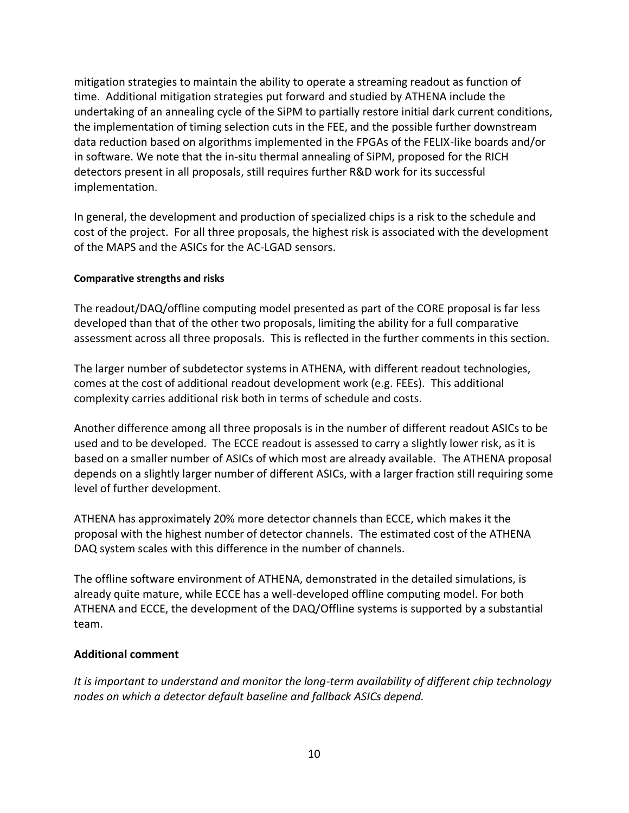mitigation strategies to maintain the ability to operate a streaming readout as function of time. Additional mitigation strategies put forward and studied by ATHENA include the undertaking of an annealing cycle of the SiPM to partially restore initial dark current conditions, the implementation of timing selection cuts in the FEE, and the possible further downstream data reduction based on algorithms implemented in the FPGAs of the FELIX-like boards and/or in software. We note that the in-situ thermal annealing of SiPM, proposed for the RICH detectors present in all proposals, still requires further R&D work for its successful implementation.

In general, the development and production of specialized chips is a risk to the schedule and cost of the project. For all three proposals, the highest risk is associated with the development of the MAPS and the ASICs for the AC-LGAD sensors.

#### **Comparative strengths and risks**

The readout/DAQ/offline computing model presented as part of the CORE proposal is far less developed than that of the other two proposals, limiting the ability for a full comparative assessment across all three proposals. This is reflected in the further comments in this section.

The larger number of subdetector systems in ATHENA, with different readout technologies, comes at the cost of additional readout development work (e.g. FEEs). This additional complexity carries additional risk both in terms of schedule and costs.

Another difference among all three proposals is in the number of different readout ASICs to be used and to be developed. The ECCE readout is assessed to carry a slightly lower risk, as it is based on a smaller number of ASICs of which most are already available. The ATHENA proposal depends on a slightly larger number of different ASICs, with a larger fraction still requiring some level of further development.

ATHENA has approximately 20% more detector channels than ECCE, which makes it the proposal with the highest number of detector channels. The estimated cost of the ATHENA DAQ system scales with this difference in the number of channels.

The offline software environment of ATHENA, demonstrated in the detailed simulations, is already quite mature, while ECCE has a well-developed offline computing model. For both ATHENA and ECCE, the development of the DAQ/Offline systems is supported by a substantial team.

## **Additional comment**

*It is important to understand and monitor the long-term availability of different chip technology nodes on which a detector default baseline and fallback ASICs depend.*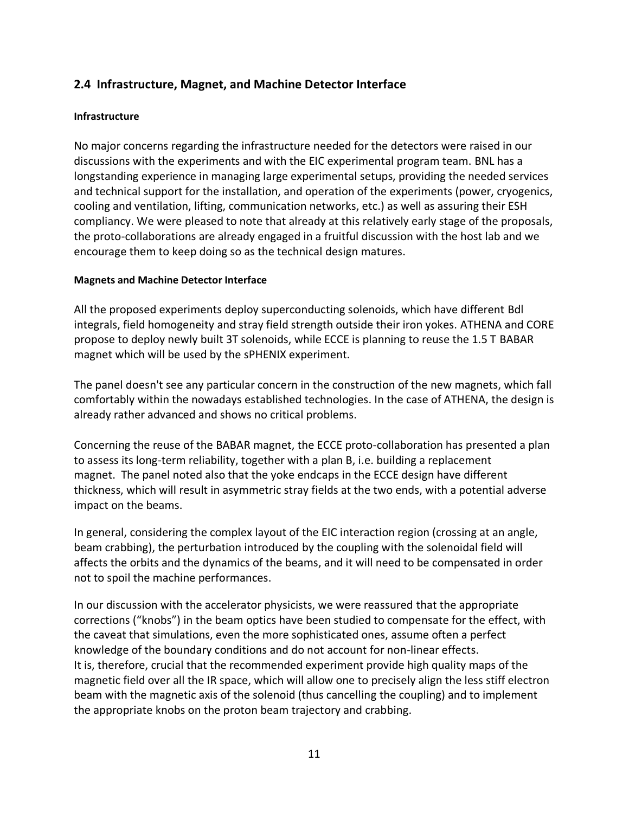## **2.4 Infrastructure, Magnet, and Machine Detector Interface**

#### **Infrastructure**

No major concerns regarding the infrastructure needed for the detectors were raised in our discussions with the experiments and with the EIC experimental program team. BNL has a longstanding experience in managing large experimental setups, providing the needed services and technical support for the installation, and operation of the experiments (power, cryogenics, cooling and ventilation, lifting, communication networks, etc.) as well as assuring their ESH compliancy. We were pleased to note that already at this relatively early stage of the proposals, the proto-collaborations are already engaged in a fruitful discussion with the host lab and we encourage them to keep doing so as the technical design matures.

#### **Magnets and Machine Detector Interface**

All the proposed experiments deploy superconducting solenoids, which have different Bdl integrals, field homogeneity and stray field strength outside their iron yokes. ATHENA and CORE propose to deploy newly built 3T solenoids, while ECCE is planning to reuse the 1.5 T BABAR magnet which will be used by the sPHENIX experiment.

The panel doesn't see any particular concern in the construction of the new magnets, which fall comfortably within the nowadays established technologies. In the case of ATHENA, the design is already rather advanced and shows no critical problems.

Concerning the reuse of the BABAR magnet, the ECCE proto-collaboration has presented a plan to assess its long-term reliability, together with a plan B, i.e. building a replacement magnet. The panel noted also that the yoke endcaps in the ECCE design have different thickness, which will result in asymmetric stray fields at the two ends, with a potential adverse impact on the beams.

In general, considering the complex layout of the EIC interaction region (crossing at an angle, beam crabbing), the perturbation introduced by the coupling with the solenoidal field will affects the orbits and the dynamics of the beams, and it will need to be compensated in order not to spoil the machine performances.

In our discussion with the accelerator physicists, we were reassured that the appropriate corrections ("knobs") in the beam optics have been studied to compensate for the effect, with the caveat that simulations, even the more sophisticated ones, assume often a perfect knowledge of the boundary conditions and do not account for non-linear effects. It is, therefore, crucial that the recommended experiment provide high quality maps of the magnetic field over all the IR space, which will allow one to precisely align the less stiff electron beam with the magnetic axis of the solenoid (thus cancelling the coupling) and to implement the appropriate knobs on the proton beam trajectory and crabbing.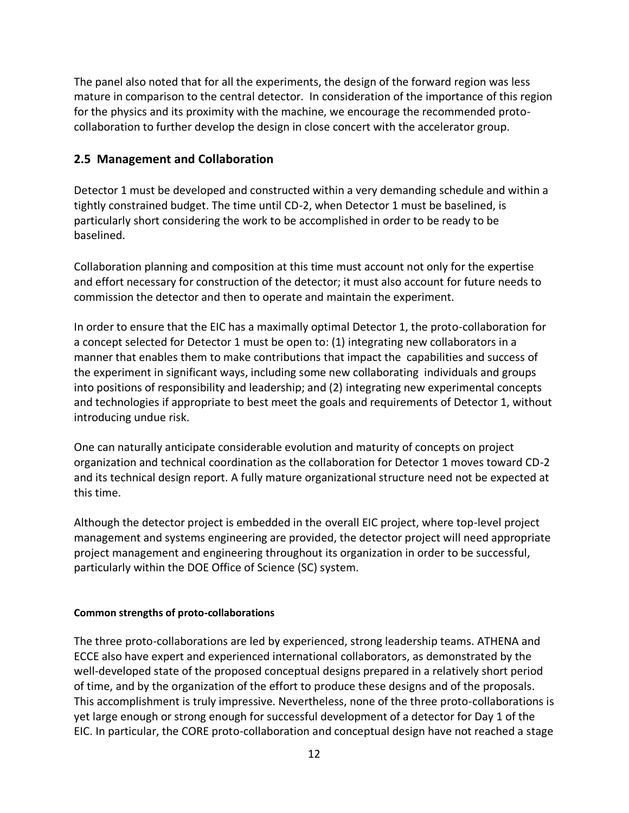The panel also noted that for all the experiments, the design of the forward region was less mature in comparison to the central detector. In consideration of the importance of this region for the physics and its proximity with the machine, we encourage the recommended protocollaboration to further develop the design in close concert with the accelerator group.

## **2.5 Management and Collaboration**

Detector 1 must be developed and constructed within a very demanding schedule and within a tightly constrained budget. The time until CD-2, when Detector 1 must be baselined, is particularly short considering the work to be accomplished in order to be ready to be baselined.

Collaboration planning and composition at this time must account not only for the expertise and effort necessary for construction of the detector; it must also account for future needs to commission the detector and then to operate and maintain the experiment.

In order to ensure that the EIC has a maximally optimal Detector 1, the proto-collaboration for a concept selected for Detector 1 must be open to: (1) integrating new collaborators in a manner that enables them to make contributions that impact the  capabilities and success of the experiment in significant ways, including some new collaborating  individuals and groups into positions of responsibility and leadership; and (2) integrating new experimental concepts and technologies if appropriate to best meet the goals and requirements of Detector 1, without introducing undue risk.

One can naturally anticipate considerable evolution and maturity of concepts on project organization and technical coordination as the collaboration for Detector 1 moves toward CD-2 and its technical design report. A fully mature organizational structure need not be expected at this time.

Although the detector project is embedded in the overall EIC project, where top-level project management and systems engineering are provided, the detector project will need appropriate project management and engineering throughout its organization in order to be successful, particularly within the DOE Office of Science (SC) system.

#### **Common strengths of proto-collaborations**

The three proto-collaborations are led by experienced, strong leadership teams. ATHENA and ECCE also have expert and experienced international collaborators, as demonstrated by the well-developed state of the proposed conceptual designs prepared in a relatively short period of time, and by the organization of the effort to produce these designs and of the proposals. This accomplishment is truly impressive. Nevertheless, none of the three proto-collaborations is yet large enough or strong enough for successful development of a detector for Day 1 of the EIC. In particular, the CORE proto-collaboration and conceptual design have not reached a stage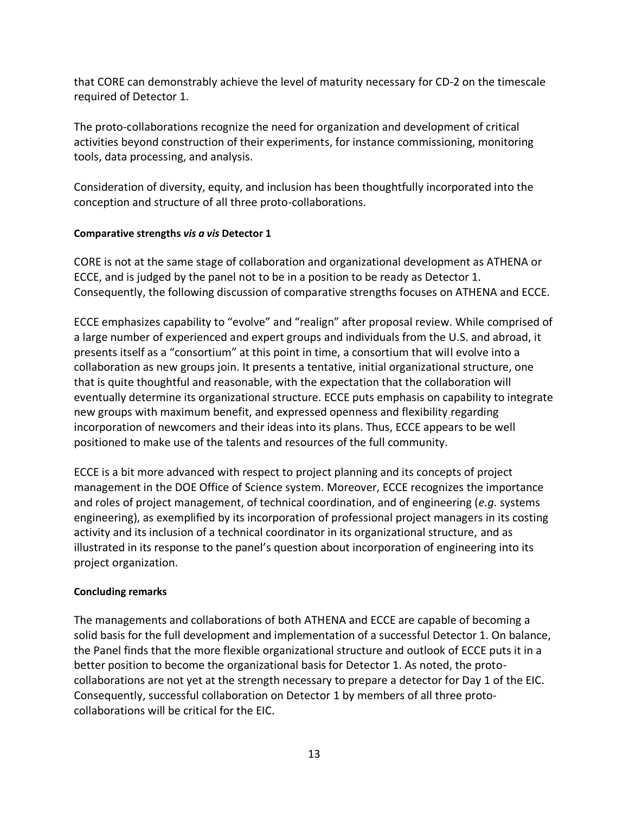that CORE can demonstrably achieve the level of maturity necessary for CD-2 on the timescale required of Detector 1.

The proto-collaborations recognize the need for organization and development of critical activities beyond construction of their experiments, for instance commissioning, monitoring tools, data processing, and analysis.

Consideration of diversity, equity, and inclusion has been thoughtfully incorporated into the conception and structure of all three proto-collaborations.

## **Comparative strengths** *vis a vis* **Detector 1**

CORE is not at the same stage of collaboration and organizational development as ATHENA or ECCE, and is judged by the panel not to be in a position to be ready as Detector 1. Consequently, the following discussion of comparative strengths focuses on ATHENA and ECCE.

ECCE emphasizes capability to "evolve" and "realign" after proposal review. While comprised of a large number of experienced and expert groups and individuals from the U.S. and abroad, it presents itself as a "consortium" at this point in time, a consortium that will evolve into a collaboration as new groups join. It presents a tentative, initial organizational structure, one that is quite thoughtful and reasonable, with the expectation that the collaboration will eventually determine its organizational structure. ECCE puts emphasis on capability to integrate new groups with maximum benefit, and expressed openness and flexibility regarding incorporation of newcomers and their ideas into its plans. Thus, ECCE appears to be well positioned to make use of the talents and resources of the full community.

ECCE is a bit more advanced with respect to project planning and its concepts of project management in the DOE Office of Science system. Moreover, ECCE recognizes the importance and roles of project management, of technical coordination, and of engineering (*e.g.* systems engineering), as exemplified by its incorporation of professional project managers in its costing activity and its inclusion of a technical coordinator in its organizational structure, and as illustrated in its response to the panel's question about incorporation of engineering into its project organization.

## **Concluding remarks**

The managements and collaborations of both ATHENA and ECCE are capable of becoming a solid basis for the full development and implementation of a successful Detector 1. On balance, the Panel finds that the more flexible organizational structure and outlook of ECCE puts it in a better position to become the organizational basis for Detector 1. As noted, the protocollaborations are not yet at the strength necessary to prepare a detector for Day 1 of the EIC. Consequently, successful collaboration on Detector 1 by members of all three protocollaborations will be critical for the EIC.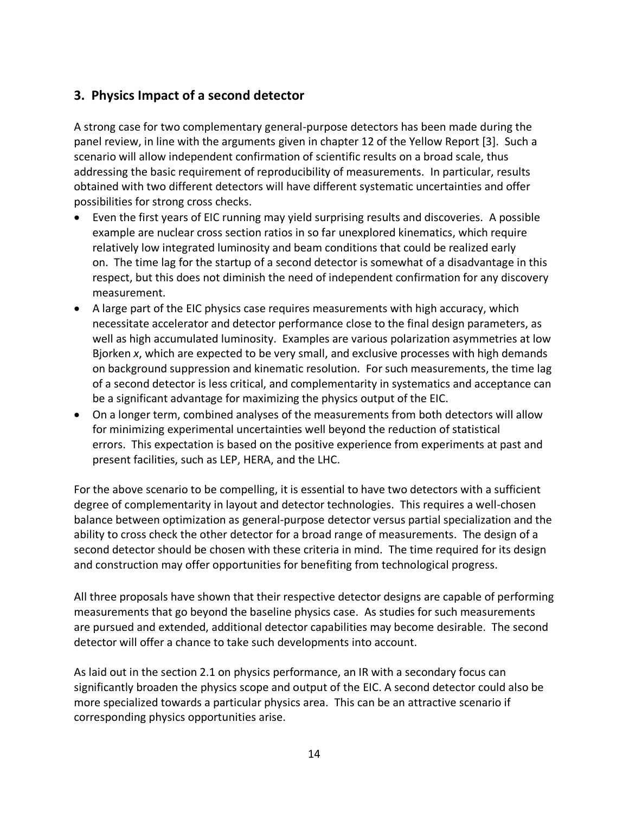## **3. Physics Impact of a second detector**

A strong case for two complementary general-purpose detectors has been made during the panel review, in line with the arguments given in chapter 12 of the Yellow Report [3]. Such a scenario will allow independent confirmation of scientific results on a broad scale, thus addressing the basic requirement of reproducibility of measurements. In particular, results obtained with two different detectors will have different systematic uncertainties and offer possibilities for strong cross checks.

- Even the first years of EIC running may yield surprising results and discoveries. A possible example are nuclear cross section ratios in so far unexplored kinematics, which require relatively low integrated luminosity and beam conditions that could be realized early on. The time lag for the startup of a second detector is somewhat of a disadvantage in this respect, but this does not diminish the need of independent confirmation for any discovery measurement.
- A large part of the EIC physics case requires measurements with high accuracy, which necessitate accelerator and detector performance close to the final design parameters, as well as high accumulated luminosity. Examples are various polarization asymmetries at low Bjorken *x*, which are expected to be very small, and exclusive processes with high demands on background suppression and kinematic resolution. For such measurements, the time lag of a second detector is less critical, and complementarity in systematics and acceptance can be a significant advantage for maximizing the physics output of the EIC.
- On a longer term, combined analyses of the measurements from both detectors will allow for minimizing experimental uncertainties well beyond the reduction of statistical errors. This expectation is based on the positive experience from experiments at past and present facilities, such as LEP, HERA, and the LHC.

For the above scenario to be compelling, it is essential to have two detectors with a sufficient degree of complementarity in layout and detector technologies. This requires a well-chosen balance between optimization as general-purpose detector versus partial specialization and the ability to cross check the other detector for a broad range of measurements. The design of a second detector should be chosen with these criteria in mind. The time required for its design and construction may offer opportunities for benefiting from technological progress.

All three proposals have shown that their respective detector designs are capable of performing measurements that go beyond the baseline physics case. As studies for such measurements are pursued and extended, additional detector capabilities may become desirable. The second detector will offer a chance to take such developments into account.

As laid out in the section 2.1 on physics performance, an IR with a secondary focus can significantly broaden the physics scope and output of the EIC. A second detector could also be more specialized towards a particular physics area. This can be an attractive scenario if corresponding physics opportunities arise.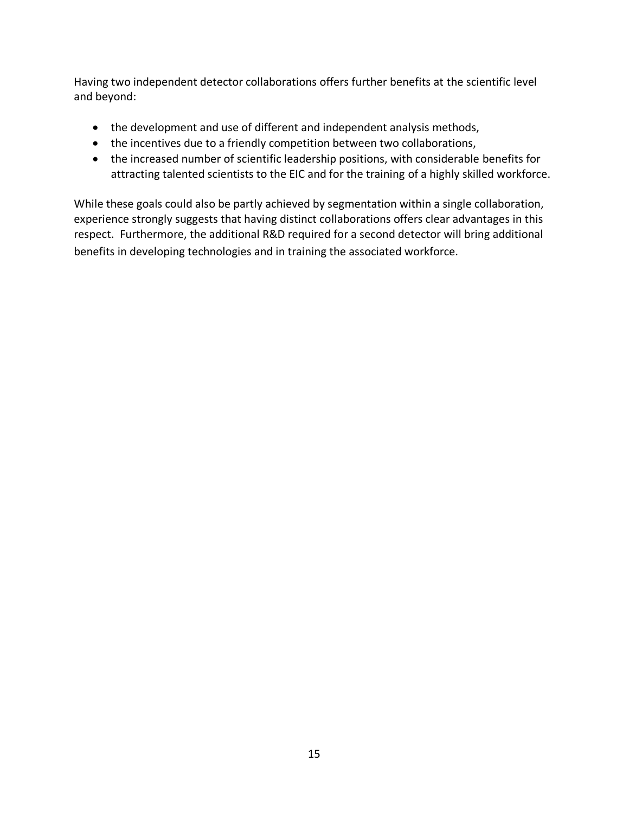Having two independent detector collaborations offers further benefits at the scientific level and beyond:

- the development and use of different and independent analysis methods,
- the incentives due to a friendly competition between two collaborations,
- the increased number of scientific leadership positions, with considerable benefits for attracting talented scientists to the EIC and for the training of a highly skilled workforce.

While these goals could also be partly achieved by segmentation within a single collaboration, experience strongly suggests that having distinct collaborations offers clear advantages in this respect. Furthermore, the additional R&D required for a second detector will bring additional benefits in developing technologies and in training the associated workforce.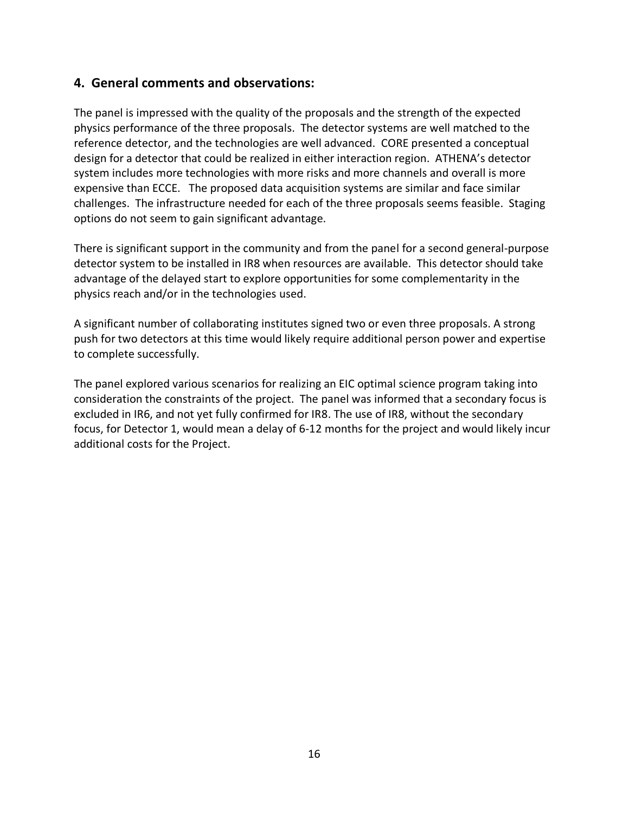## **4. General comments and observations:**

The panel is impressed with the quality of the proposals and the strength of the expected physics performance of the three proposals. The detector systems are well matched to the reference detector, and the technologies are well advanced. CORE presented a conceptual design for a detector that could be realized in either interaction region. ATHENA's detector system includes more technologies with more risks and more channels and overall is more expensive than ECCE. The proposed data acquisition systems are similar and face similar challenges. The infrastructure needed for each of the three proposals seems feasible. Staging options do not seem to gain significant advantage.

There is significant support in the community and from the panel for a second general-purpose detector system to be installed in IR8 when resources are available. This detector should take advantage of the delayed start to explore opportunities for some complementarity in the physics reach and/or in the technologies used.

A significant number of collaborating institutes signed two or even three proposals. A strong push for two detectors at this time would likely require additional person power and expertise to complete successfully.

The panel explored various scenarios for realizing an EIC optimal science program taking into consideration the constraints of the project. The panel was informed that a secondary focus is excluded in IR6, and not yet fully confirmed for IR8. The use of IR8, without the secondary focus, for Detector 1, would mean a delay of 6-12 months for the project and would likely incur additional costs for the Project.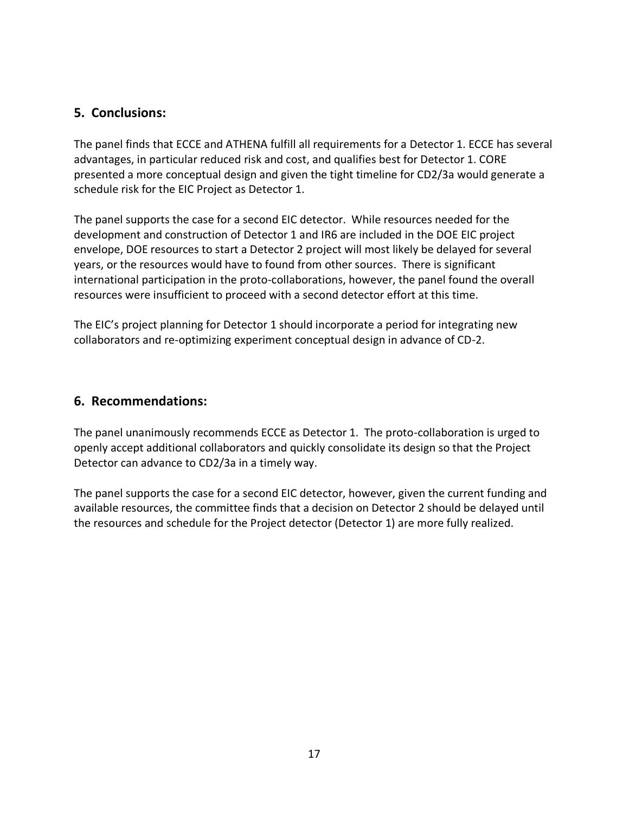## **5. Conclusions:**

The panel finds that ECCE and ATHENA fulfill all requirements for a Detector 1. ECCE has several advantages, in particular reduced risk and cost, and qualifies best for Detector 1. CORE presented a more conceptual design and given the tight timeline for CD2/3a would generate a schedule risk for the EIC Project as Detector 1.

The panel supports the case for a second EIC detector. While resources needed for the development and construction of Detector 1 and IR6 are included in the DOE EIC project envelope, DOE resources to start a Detector 2 project will most likely be delayed for several years, or the resources would have to found from other sources. There is significant international participation in the proto-collaborations, however, the panel found the overall resources were insufficient to proceed with a second detector effort at this time.

The EIC's project planning for Detector 1 should incorporate a period for integrating new collaborators and re-optimizing experiment conceptual design in advance of CD-2.

## **6. Recommendations:**

The panel unanimously recommends ECCE as Detector 1. The proto-collaboration is urged to openly accept additional collaborators and quickly consolidate its design so that the Project Detector can advance to CD2/3a in a timely way.

The panel supports the case for a second EIC detector, however, given the current funding and available resources, the committee finds that a decision on Detector 2 should be delayed until the resources and schedule for the Project detector (Detector 1) are more fully realized.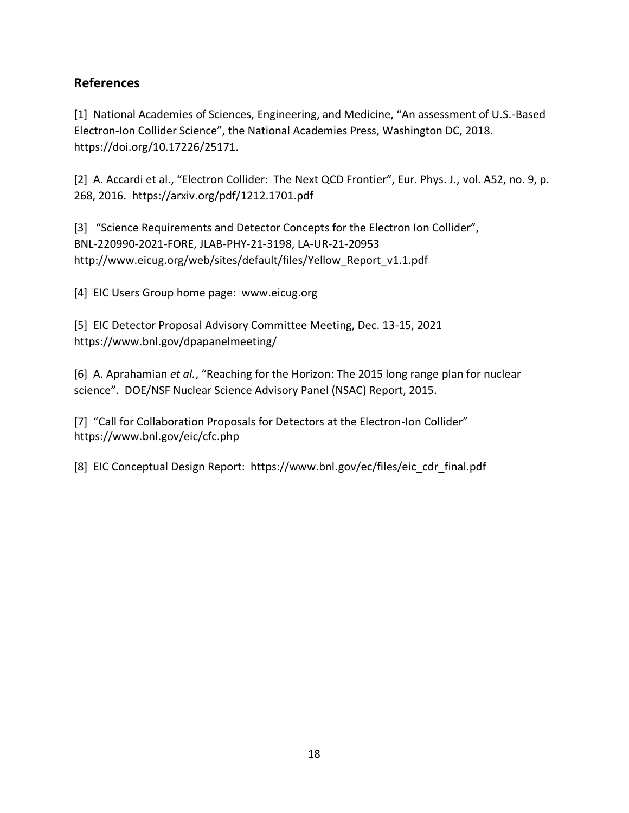## **References**

[1] National Academies of Sciences, Engineering, and Medicine, "An assessment of U.S.-Based Electron-Ion Collider Science", the National Academies Press, Washington DC, 2018. https://doi.org/10.17226/25171.

[2] A. Accardi et al., "Electron Collider: The Next QCD Frontier", Eur. Phys. J., vol. A52, no. 9, p. 268, 2016. https://arxiv.org/pdf/1212.1701.pdf

[3] "Science Requirements and Detector Concepts for the Electron Ion Collider", BNL-220990-2021-FORE, JLAB-PHY-21-3198, LA-UR-21-20953 http://www.eicug.org/web/sites/default/files/Yellow\_Report\_v1.1.pdf

[4] EIC Users Group home page: www.eicug.org

[5] EIC Detector Proposal Advisory Committee Meeting, Dec. 13-15, 2021 https://www.bnl.gov/dpapanelmeeting/

[6] A. Aprahamian *et al.*, "Reaching for the Horizon: The 2015 long range plan for nuclear science". DOE/NSF Nuclear Science Advisory Panel (NSAC) Report, 2015.

[7] "Call for Collaboration Proposals for Detectors at the Electron-Ion Collider" https://www.bnl.gov/eic/cfc.php

[8] EIC Conceptual Design Report: https://www.bnl.gov/ec/files/eic\_cdr\_final.pdf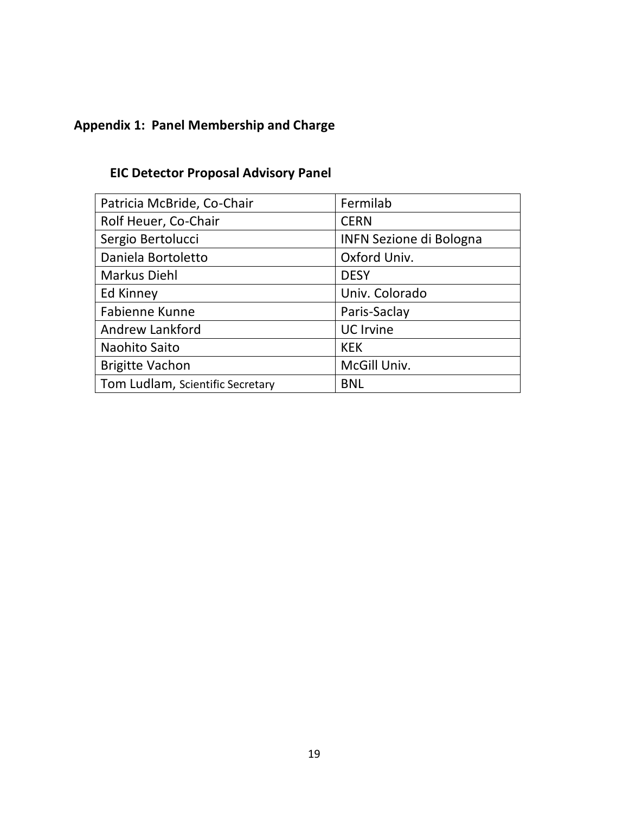# **Appendix 1: Panel Membership and Charge**

## **EIC Detector Proposal Advisory Panel**

| Patricia McBride, Co-Chair       | Fermilab                       |  |
|----------------------------------|--------------------------------|--|
| Rolf Heuer, Co-Chair             | <b>CERN</b>                    |  |
| Sergio Bertolucci                | <b>INFN Sezione di Bologna</b> |  |
| Daniela Bortoletto               | Oxford Univ.                   |  |
| Markus Diehl                     | <b>DESY</b>                    |  |
| Ed Kinney                        | Univ. Colorado                 |  |
| <b>Fabienne Kunne</b>            | Paris-Saclay                   |  |
| Andrew Lankford                  | <b>UC</b> Irvine               |  |
| Naohito Saito                    | <b>KEK</b>                     |  |
| <b>Brigitte Vachon</b>           | McGill Univ.                   |  |
| Tom Ludlam, Scientific Secretary | <b>BNL</b>                     |  |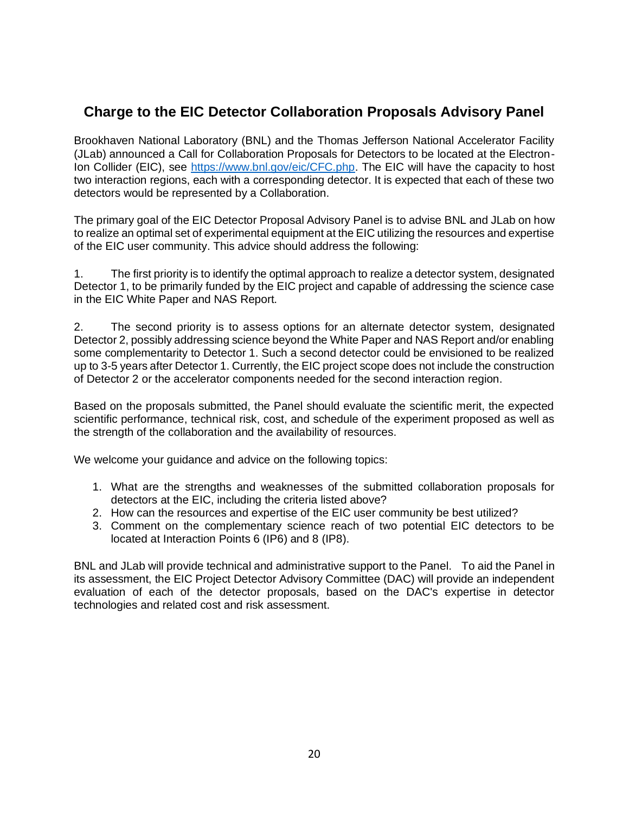## **Charge to the EIC Detector Collaboration Proposals Advisory Panel**

Brookhaven National Laboratory (BNL) and the Thomas Jefferson National Accelerator Facility (JLab) announced a Call for Collaboration Proposals for Detectors to be located at the Electron-Ion Collider (EIC), see [https://www.bnl.gov/eic/CFC.php.](about:blank) The EIC will have the capacity to host two interaction regions, each with a corresponding detector. It is expected that each of these two detectors would be represented by a Collaboration.

The primary goal of the EIC Detector Proposal Advisory Panel is to advise BNL and JLab on how to realize an optimal set of experimental equipment at the EIC utilizing the resources and expertise of the EIC user community. This advice should address the following:

1. The first priority is to identify the optimal approach to realize a detector system, designated Detector 1, to be primarily funded by the EIC project and capable of addressing the science case in the EIC White Paper and NAS Report.

2. The second priority is to assess options for an alternate detector system, designated Detector 2, possibly addressing science beyond the White Paper and NAS Report and/or enabling some complementarity to Detector 1. Such a second detector could be envisioned to be realized up to 3-5 years after Detector 1. Currently, the EIC project scope does not include the construction of Detector 2 or the accelerator components needed for the second interaction region.

Based on the proposals submitted, the Panel should evaluate the scientific merit, the expected scientific performance, technical risk, cost, and schedule of the experiment proposed as well as the strength of the collaboration and the availability of resources.

We welcome your guidance and advice on the following topics:

- 1. What are the strengths and weaknesses of the submitted collaboration proposals for detectors at the EIC, including the criteria listed above?
- 2. How can the resources and expertise of the EIC user community be best utilized?
- 3. Comment on the complementary science reach of two potential EIC detectors to be located at Interaction Points 6 (IP6) and 8 (IP8).

BNL and JLab will provide technical and administrative support to the Panel. To aid the Panel in its assessment, the EIC Project Detector Advisory Committee (DAC) will provide an independent evaluation of each of the detector proposals, based on the DAC's expertise in detector technologies and related cost and risk assessment.